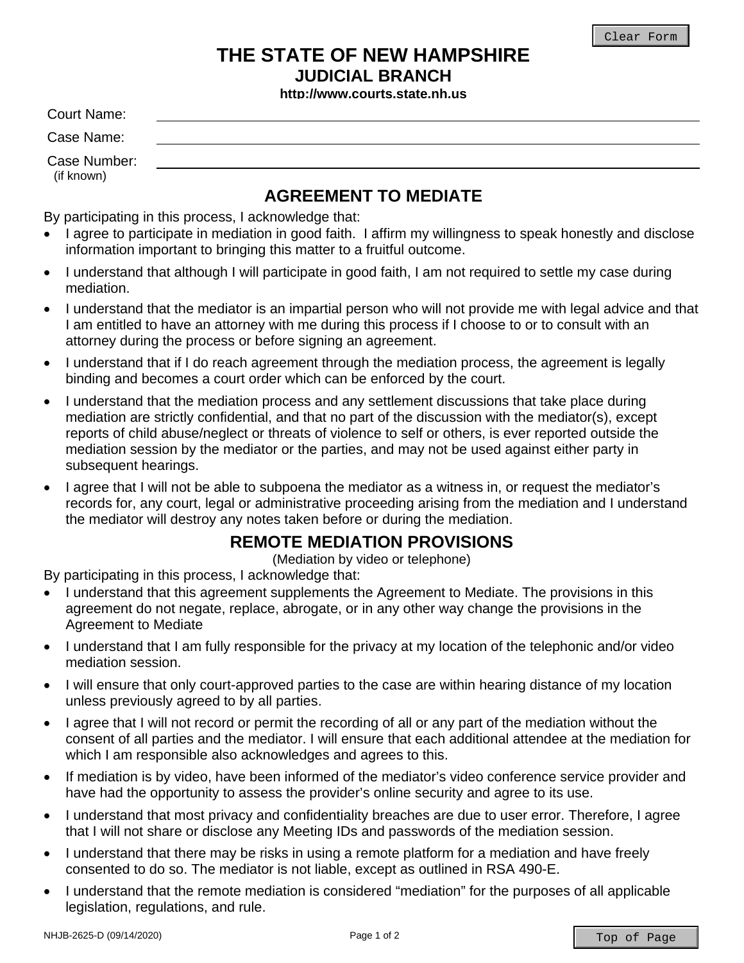## **THE STATE OF NEW HAMPSHIRE JUDICIAL BRANCH**

**http://www.courts.state.nh.us** 

Court Name:

Case Name:

Case Number: (if known)

## **AGREEMENT TO MEDIATE**

By participating in this process, I acknowledge that:

- I agree to participate in mediation in good faith. I affirm my willingness to speak honestly and disclose information important to bringing this matter to a fruitful outcome.
- I understand that although I will participate in good faith, I am not required to settle my case during mediation.
- I understand that the mediator is an impartial person who will not provide me with legal advice and that I am entitled to have an attorney with me during this process if I choose to or to consult with an attorney during the process or before signing an agreement.
- I understand that if I do reach agreement through the mediation process, the agreement is legally binding and becomes a court order which can be enforced by the court.
- I understand that the mediation process and any settlement discussions that take place during mediation are strictly confidential, and that no part of the discussion with the mediator(s), except reports of child abuse/neglect or threats of violence to self or others, is ever reported outside the mediation session by the mediator or the parties, and may not be used against either party in subsequent hearings.
- I agree that I will not be able to subpoena the mediator as a witness in, or request the mediator's records for, any court, legal or administrative proceeding arising from the mediation and I understand the mediator will destroy any notes taken before or during the mediation.

## **REMOTE MEDIATION PROVISIONS**

(Mediation by video or telephone)

By participating in this process, I acknowledge that:

- I understand that this agreement supplements the Agreement to Mediate. The provisions in this agreement do not negate, replace, abrogate, or in any other way change the provisions in the Agreement to Mediate
- I understand that I am fully responsible for the privacy at my location of the telephonic and/or video mediation session.
- I will ensure that only court-approved parties to the case are within hearing distance of my location unless previously agreed to by all parties.
- I agree that I will not record or permit the recording of all or any part of the mediation without the consent of all parties and the mediator. I will ensure that each additional attendee at the mediation for which I am responsible also acknowledges and agrees to this.
- If mediation is by video, have been informed of the mediator's video conference service provider and have had the opportunity to assess the provider's online security and agree to its use.
- I understand that most privacy and confidentiality breaches are due to user error. Therefore, I agree that I will not share or disclose any Meeting IDs and passwords of the mediation session.
- I understand that there may be risks in using a remote platform for a mediation and have freely consented to do so. The mediator is not liable, except as outlined in RSA 490-E.
- I understand that the remote mediation is considered "mediation" for the purposes of all applicable legislation, regulations, and rule.